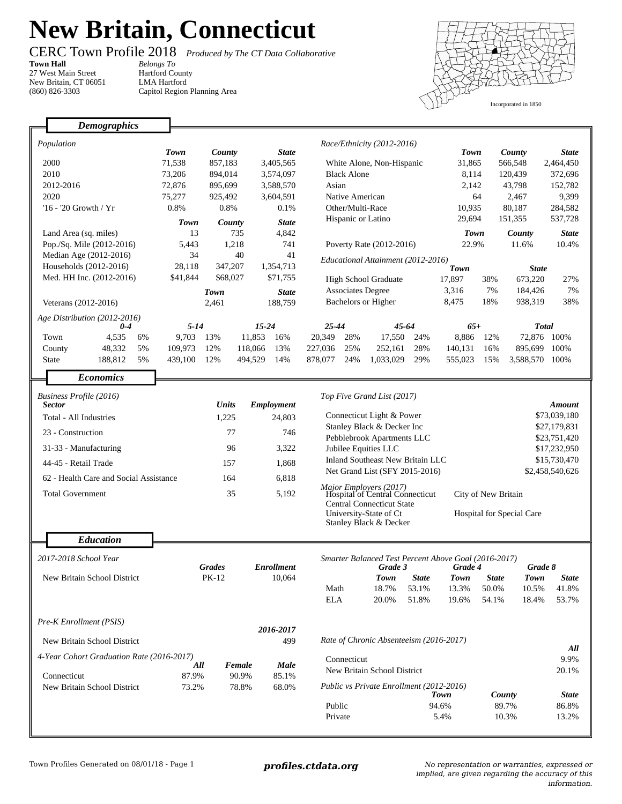## **New Britain, Connecticut**

**Town Hall** *Belongs To* 27 West Main Street New Britain, CT 06051 (860) 826-3303

CERC Town Profile 2018 *Produced by The CT Data Collaborative*

Hartford County LMA Hartford Capitol Region Planning Area



|                                                    | <b>Demographics</b>            |                   |                            |                     |                               |                                                                                      |                                                         |                                                      |                       |                                                         |                         |                 |                 |
|----------------------------------------------------|--------------------------------|-------------------|----------------------------|---------------------|-------------------------------|--------------------------------------------------------------------------------------|---------------------------------------------------------|------------------------------------------------------|-----------------------|---------------------------------------------------------|-------------------------|-----------------|-----------------|
|                                                    |                                |                   |                            |                     |                               |                                                                                      |                                                         |                                                      |                       |                                                         |                         |                 |                 |
|                                                    | Population                     | Town              | County                     |                     | <b>State</b>                  | Race/Ethnicity (2012-2016)                                                           |                                                         | <b>Town</b>                                          |                       | County                                                  | <b>State</b>            |                 |                 |
|                                                    | 2000                           | 71,538            | 857,183                    |                     | 3,405,565                     | White Alone, Non-Hispanic                                                            |                                                         |                                                      | 31,865                |                                                         | 566,548                 | 2,464,450       |                 |
|                                                    | 2010                           | 73,206            | 894,014                    |                     | 3,574,097                     | <b>Black Alone</b>                                                                   |                                                         |                                                      | 8,114                 |                                                         | 120,439                 | 372,696         |                 |
| 2012-2016                                          |                                | 72,876            | 895,699                    |                     | 3,588,570                     | Asian                                                                                |                                                         |                                                      | 2,142                 |                                                         | 43.798                  | 152,782         |                 |
| 2020                                               |                                | 75,277            | 925,492                    |                     | 3,604,591                     | Native American                                                                      |                                                         |                                                      | 64                    |                                                         | 2,467                   | 9,399           |                 |
| '16 - '20 Growth / Yr                              |                                | 0.8%              | 0.8%                       |                     | 0.1%                          | Other/Multi-Race                                                                     |                                                         | 10,935                                               |                       | 80,187                                                  | 284,582                 |                 |                 |
|                                                    |                                | Town              |                            |                     | <b>State</b>                  | Hispanic or Latino                                                                   |                                                         | 29,694                                               |                       | 151,355                                                 | 537,728                 |                 |                 |
|                                                    |                                |                   | County<br>13<br>735        |                     | 4,842                         |                                                                                      |                                                         | <b>Town</b>                                          |                       |                                                         | <b>State</b>            |                 |                 |
| Land Area (sq. miles)<br>Pop./Sq. Mile (2012-2016) |                                | 5,443             | 1,218                      |                     | 741                           | Poverty Rate (2012-2016)                                                             |                                                         |                                                      |                       | 22.9%                                                   |                         | County<br>11.6% | 10.4%           |
|                                                    | Median Age (2012-2016)         | 34                | 40                         |                     | 41                            |                                                                                      |                                                         |                                                      |                       |                                                         |                         |                 |                 |
| Households (2012-2016)                             |                                | 28,118            | 347,207                    |                     | 1,354,713                     | Educational Attainment (2012-2016)                                                   |                                                         |                                                      |                       |                                                         |                         |                 |                 |
| Med. HH Inc. (2012-2016)                           |                                | \$41,844          | \$68,027                   |                     | \$71,755                      |                                                                                      |                                                         |                                                      | <b>Town</b><br>17,897 |                                                         | <b>State</b><br>673,220 | 27%             |                 |
|                                                    |                                |                   |                            |                     |                               |                                                                                      | <b>High School Graduate</b><br><b>Associates Degree</b> |                                                      | 3,316                 | 38%<br>7%                                               | 184,426                 | 7%              |                 |
|                                                    |                                | Town              |                            |                     | <b>State</b>                  | <b>Bachelors or Higher</b>                                                           |                                                         |                                                      | 8,475                 | 18%                                                     | 938,319                 | 38%             |                 |
|                                                    | Veterans (2012-2016)           |                   | 2,461                      |                     | 188,759                       |                                                                                      |                                                         |                                                      |                       |                                                         |                         |                 |                 |
|                                                    | Age Distribution (2012-2016)   |                   |                            |                     |                               | 25-44<br>45-64                                                                       |                                                         |                                                      | $65+$                 |                                                         | <b>Total</b>            |                 |                 |
|                                                    | $0 - 4$<br>Town<br>4,535<br>6% | $5 - 14$<br>9,703 | 13%                        | $15 - 24$<br>11,853 | 16%                           | 20,349                                                                               | 28%                                                     | 17,550                                               | 24%                   | 8,886                                                   | 12%                     |                 | 72,876 100%     |
|                                                    | 48,332<br>5%<br>County         | 109,973           | 12%                        | 118,066             | 13%                           | 227,036                                                                              | 25%                                                     | 252,161                                              | 28%                   | 140,131                                                 | 16%                     |                 | 895,699 100%    |
|                                                    | 188,812<br>5%<br><b>State</b>  | 439,100           | 12%                        | 494,529             | 14%                           | 878,077                                                                              | 24%                                                     | 1,033,029                                            | 29%                   | 555,023                                                 | 15%                     | 3,588,570 100%  |                 |
|                                                    |                                |                   |                            |                     |                               |                                                                                      |                                                         |                                                      |                       |                                                         |                         |                 |                 |
|                                                    | <b>Economics</b>               |                   |                            |                     |                               |                                                                                      |                                                         |                                                      |                       |                                                         |                         |                 |                 |
|                                                    |                                |                   | Top Five Grand List (2017) |                     |                               |                                                                                      |                                                         |                                                      |                       |                                                         |                         |                 |                 |
| Business Profile (2016)<br><b>Sector</b>           |                                |                   | <b>Units</b><br>Employment |                     |                               |                                                                                      |                                                         |                                                      |                       |                                                         |                         |                 | Amount          |
| Total - All Industries                             |                                |                   | 1,225                      |                     | 24,803                        | Connecticut Light & Power                                                            |                                                         |                                                      |                       |                                                         | \$73,039,180            |                 |                 |
|                                                    |                                |                   |                            |                     |                               | Stanley Black & Decker Inc                                                           |                                                         |                                                      |                       |                                                         |                         |                 | \$27,179,831    |
| 23 - Construction                                  |                                |                   | 77                         |                     |                               | Pebblebrook Apartments LLC                                                           |                                                         |                                                      |                       |                                                         |                         |                 | \$23,751,420    |
| 31-33 - Manufacturing                              |                                |                   | 96                         |                     |                               | Jubilee Equities LLC                                                                 |                                                         |                                                      |                       |                                                         |                         |                 | \$17,232,950    |
| 44-45 - Retail Trade                               |                                |                   | 157                        |                     |                               | <b>Inland Southeast New Britain LLC</b>                                              |                                                         |                                                      |                       | \$15,730,470                                            |                         |                 |                 |
| 62 - Health Care and Social Assistance             |                                |                   | 164                        |                     |                               | Net Grand List (SFY 2015-2016)                                                       |                                                         |                                                      |                       |                                                         |                         |                 | \$2,458,540,626 |
|                                                    |                                |                   |                            |                     | 6,818<br>5,192                |                                                                                      |                                                         |                                                      |                       |                                                         |                         |                 |                 |
| <b>Total Government</b>                            |                                |                   | 35                         |                     |                               | Major Employers (2017)<br>Hospital of Central Connecticut                            |                                                         |                                                      |                       | City of New Britain<br><b>Hospital for Special Care</b> |                         |                 |                 |
|                                                    |                                |                   |                            |                     |                               | <b>Central Connecticut State</b><br>University-State of Ct<br>Stanley Black & Decker |                                                         |                                                      |                       |                                                         |                         |                 |                 |
|                                                    |                                |                   |                            |                     |                               |                                                                                      |                                                         |                                                      |                       |                                                         |                         |                 |                 |
|                                                    |                                |                   |                            |                     |                               |                                                                                      |                                                         |                                                      |                       |                                                         |                         |                 |                 |
|                                                    | <b>Education</b>               |                   |                            |                     |                               |                                                                                      |                                                         |                                                      |                       |                                                         |                         |                 |                 |
|                                                    | 2017-2018 School Year          |                   |                            |                     |                               |                                                                                      |                                                         | Smarter Balanced Test Percent Above Goal (2016-2017) |                       |                                                         |                         |                 |                 |
|                                                    |                                |                   | <b>Grades</b>              | <b>Enrollment</b>   |                               | Grade 3                                                                              |                                                         |                                                      | Grade 4<br>Grade 8    |                                                         |                         |                 |                 |
| New Britain School District                        |                                |                   | <b>PK-12</b>               |                     | 10,064                        |                                                                                      |                                                         | Town                                                 | <b>State</b>          | Town                                                    | <b>State</b>            | <b>Town</b>     | <b>State</b>    |
|                                                    |                                |                   |                            |                     |                               | Math                                                                                 |                                                         | 18.7%                                                | 53.1%                 | 13.3%                                                   | 50.0%                   | 10.5%           | 41.8%           |
|                                                    |                                |                   |                            |                     |                               | <b>ELA</b>                                                                           |                                                         | 20.0%                                                | 51.8%                 | 19.6%                                                   | 54.1%                   | 18.4%           | 53.7%           |
|                                                    |                                |                   |                            |                     |                               |                                                                                      |                                                         |                                                      |                       |                                                         |                         |                 |                 |
| Pre-K Enrollment (PSIS)                            |                                |                   | 2016-2017                  |                     |                               |                                                                                      |                                                         |                                                      |                       |                                                         |                         |                 |                 |
| New Britain School District                        |                                |                   |                            |                     |                               | Rate of Chronic Absenteeism (2016-2017)                                              |                                                         |                                                      |                       |                                                         |                         |                 |                 |
|                                                    |                                |                   |                            | 499                 |                               |                                                                                      |                                                         |                                                      |                       |                                                         |                         |                 | All             |
| 4-Year Cohort Graduation Rate (2016-2017)          |                                | All               | Female                     |                     | <b>Male</b><br>85.1%<br>68.0% | Connecticut                                                                          |                                                         |                                                      |                       |                                                         |                         |                 | 9.9%            |
| Connecticut                                        |                                | 87.9%             | 90.9%                      |                     |                               | New Britain School District                                                          |                                                         |                                                      |                       |                                                         | 20.1%                   |                 |                 |
| New Britain School District                        |                                | 73.2%             | 78.8%                      |                     |                               | Public vs Private Enrollment (2012-2016)                                             |                                                         |                                                      |                       |                                                         |                         |                 |                 |
|                                                    |                                |                   |                            |                     |                               |                                                                                      |                                                         |                                                      | Town                  | County                                                  |                         | <b>State</b>    |                 |
|                                                    |                                |                   |                            |                     |                               | Public                                                                               |                                                         |                                                      |                       | 94.6%                                                   |                         | 89.7%           | 86.8%           |
|                                                    |                                |                   |                            |                     |                               | Private                                                                              |                                                         |                                                      |                       | 5.4%                                                    |                         | 10.3%           | 13.2%           |

Town Profiles Generated on 08/01/18 - Page 1 **profiles.ctdata.org** No representation or warranties, expressed or implied, are given regarding the accuracy of this information.